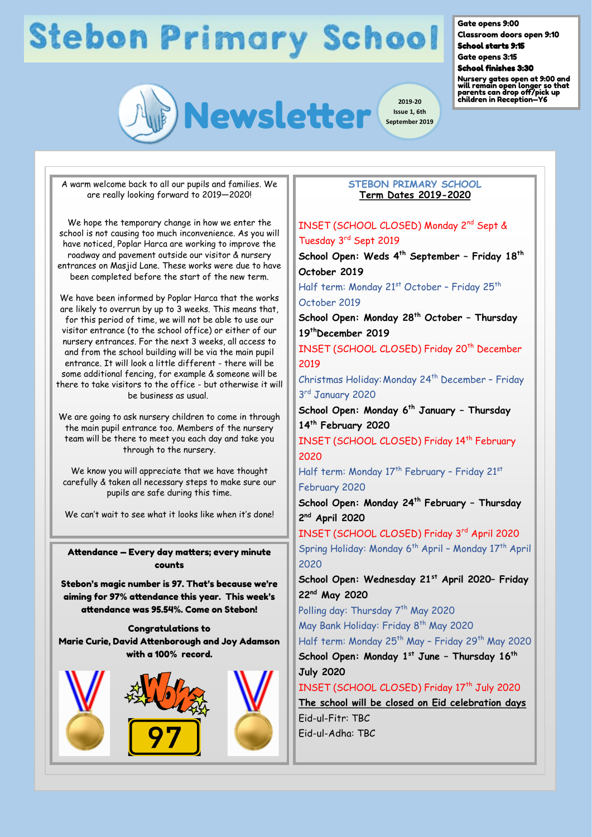## **Stebon Primary School**

Gate opens 9:00

Classroom doors open 9:10 School starts 9:15

Gate opens 3:15 School finishes 3:30



**Issue 1, 6th September 2019** Nursery gates open at 9:00 and will remain open longer so that parents can drop off/pick up children in Reception—Y6

A warm welcome back to all our pupils and families. We are really looking forward to 2019—2020!

We hope the temporary change in how we enter the school is not causing too much inconvenience. As you will have noticed, Poplar Harca are working to improve the roadway and pavement outside our visitor & nursery entrances on Masjid Lane. These works were due to have been completed before the start of the new term.

We have been informed by Poplar Harca that the works are likely to overrun by up to 3 weeks. This means that, for this period of time, we will not be able to use our visitor entrance (to the school office) or either of our nursery entrances. For the next 3 weeks, all access to and from the school building will be via the main pupil entrance. It will look a little different - there will be some additional fencing, for example & someone will be there to take visitors to the office - but otherwise it will be business as usual.

We are going to ask nursery children to come in through the main pupil entrance too. Members of the nursery team will be there to meet you each day and take you through to the nursery.

We know you will appreciate that we have thought carefully & taken all necessary steps to make sure our pupils are safe during this time.

We can't wait to see what it looks like when it's done!

Attendance — Every day matters; every minute counts

Stebon's magic number is 97. That's because we're aiming for 97% attendance this year. This week's attendance was 95.54%. Come on Stebon!

Congratulations to Marie Curie, David Attenborough and Joy Adamson with a 100% record.



#### **STEBON PRIMARY SCHOOL Term Dates 2019-2020**

## INSET (SCHOOL CLOSED) Monday 2nd Sept & Tuesday 3rd Sept 2019

**School Open: Weds 4th September – Friday 18th October 2019**

Half term: Monday 21<sup>st</sup> October - Friday 25<sup>th</sup> October 2019

**School Open: Monday 28th October – Thursday 19thDecember 2019**

INSET (SCHOOL CLOSED) Friday 20<sup>th</sup> December 2019

Christmas Holiday:Monday 24th December – Friday 3rd January 2020

**School Open: Monday 6th January – Thursday 14th February 2020**

INSET (SCHOOL CLOSED) Friday 14<sup>th</sup> February 2020

Half term: Monday 17<sup>th</sup> February - Friday 21<sup>st</sup> February 2020

**School Open: Monday 24th February – Thursday 2 nd April 2020**

INSET (SCHOOL CLOSED) Friday 3rd April 2020 Spring Holiday: Monday 6<sup>th</sup> April - Monday 17<sup>th</sup> April 2020

**School Open: Wednesday 21st April 2020– Friday 22nd May 2020**

Polling day: Thursday 7<sup>th</sup> May 2020 May Bank Holiday: Friday 8<sup>th</sup> May 2020 Half term: Monday 25<sup>th</sup> May - Friday 29<sup>th</sup> May 2020 **School Open: Monday 1st June – Thursday 16th July 2020**

INSET (SCHOOL CLOSED) Friday 17<sup>th</sup> July 2020

**The school will be closed on Eid celebration days** Eid-ul-Fitr: TBC

Eid-ul-Adha: TBC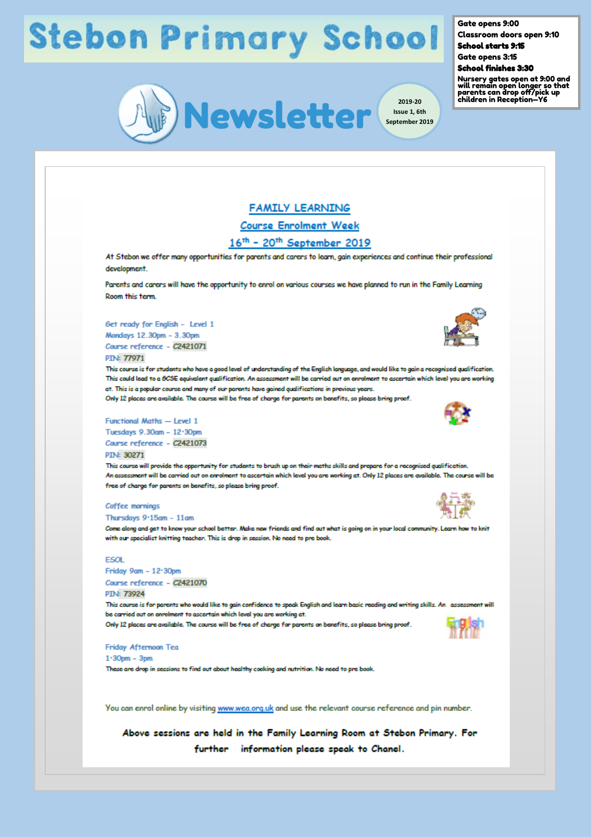## **Stebon Primary School**



#### Gate opens 9:00

**Classroom doors open 9:10 School starts 9:15** 

Gate opens 3:15

**School finishes 3:30** 

Nursery gates open at 9:00 and<br>will remain open longer so that<br>parents can drop off/pick up<br>children in Reception—Y6

## **FAMILY LEARNING**

### **Course Enrolment Week**

#### 16th - 20th September 2019

At Stebon we offer many opportunities for parents and carers to learn, gain experiences and continue their professional development.

Parents and carers will have the opportunity to enrol on various courses we have planned to run in the Family Learning Room this term

#### Get ready for English - Level 1 Mondays 12.30pm - 3.30pm

Course reference - C2421071 **DTN: 77071** 

This course is for students who have a good level of understanding of the English language, and would like to gain a recognised qualification. This could lead to a GCSE equivalent qualification. An assessment will be carried out on enrolment to ascertain which level you are working at. This is a popular course and many of our parents have gained qualifications in previous years.

Only 12 places are available. The course will be free of charge for parents on benefits, so please bring proof.

#### Functional Maths - Level 1 Tuesdays 9.30am - 12:30pm Course reference - C2421073

#### **DTN: 30271**

This course will provide the opportunity for students to brush up on their maths skills and prepare for a recognised qualification. An assessment will be carried out on enrolment to ascertain which level you are working at. Only 12 places are available. The course will be free of charge for parents on benefits, so please bring proof.

#### Coffee mornings

Thursdays 9:15am - 11am

Come along and get to know your school better. Make new friends and find out what is going on in your local community. Learn how to knit with our specialist knitting teacher. This is drop in session. No need to pre book.

#### ESOL

Friday 9am - 12:30pm Course reference - C2421070 PIN: 73924

This course is for parents who would like to gain confidence to speak English and learn basic reading and writing skills. An assessment will be carried out on enrolment to ascertain which level you are working at.

Only 12 places are available. The course will be free of charge for parents on benefits, so please bring proof.

Friday Afternoon Tea

 $1:30$ om -  $3$ om

These are drop in sessions to find out about healthy cooking and nutrition. No need to pre book.

You can enrol online by visiting www.wea.org.uk and use the relevant course reference and pin number.

Above sessions are held in the Family Learning Room at Stebon Primary. For further information please speak to Chanel.